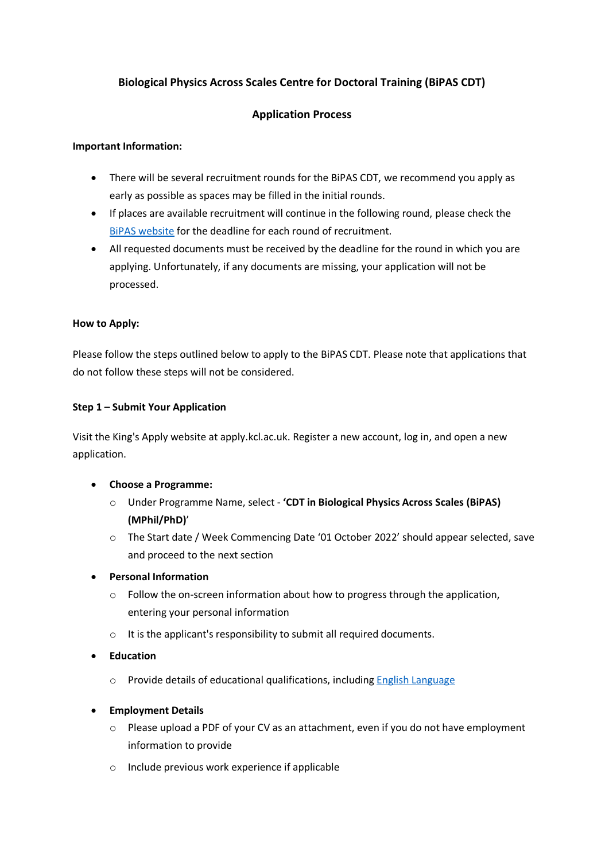# **Biological Physics Across Scales Centre for Doctoral Training (BiPAS CDT)**

## **Application Process**

### **Important Information:**

- There will be several recruitment rounds for the BiPAS CDT, we recommend you apply as early as possible as spaces may be filled in the initial rounds.
- If places are available recruitment will continue in the following round, please check the [BiPAS website](http://www.kcl.ac.uk/nms/research/bipas-cdt) for the deadline for each round of recruitment.
- All requested documents must be received by the deadline for the round in which you are applying. Unfortunately, if any documents are missing, your application will not be processed.

#### **How to Apply:**

Please follow the steps outlined below to apply to the BiPAS CDT. Please note that applications that do not follow these steps will not be considered.

#### **Step 1 – Submit Your Application**

Visit the King's Apply website at apply.kcl.ac.uk. Register a new account, log in, and open a new application.

- **Choose a Programme:**
	- o Under Programme Name, select **'CDT in Biological Physics Across Scales (BiPAS) (MPhil/PhD)**'
	- o The Start date / Week Commencing Date '01 October 2022' should appear selected, save and proceed to the next section
- **Personal Information**
	- $\circ$  Follow the on-screen information about how to progress through the application, entering your personal information
	- o It is the applicant's responsibility to submit all required documents.
- **Education**
	- o Provide details of educational qualifications, includin[g English Language](https://www.kcl.ac.uk/study/postgraduate-taught/how-to-apply/entry-requirements/english-language-requirements)
- **Employment Details** 
	- o Please upload a PDF of your CV as an attachment, even if you do not have employment information to provide
	- o Include previous work experience if applicable